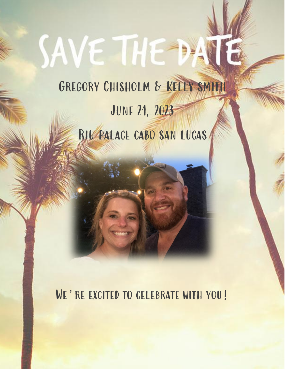# SAVE THE D Gregory Chisholm & Kelly smith

# June 21, 2023 Riu palace cabo san lucas

WE'RE EXCITED TO CELEBRATE WITH YOU!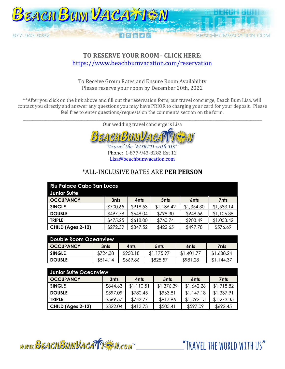

#### **TO RESERVE YOUR ROOM– CLICK HERE:**  <https://www.beachbumvacation.com/reservation>

To Receive Group Rates and Ensure Room Availability Please reserve your room by December 20th, 2022

\*\*After you click on the link above and fill out the reservation form, our travel concierge, Beach Bum Lisa, will contact you directly and answer any questions you may have PRIOR to charging your card for your deposit. Please feel free to enter questions/requests on the comments section on the form.

\_\_\_\_\_\_\_\_\_\_\_\_\_\_\_\_\_\_\_\_\_\_\_\_\_\_\_\_\_\_\_\_\_\_\_\_\_\_\_\_\_\_\_\_\_\_\_\_\_\_\_\_\_\_\_\_\_\_\_\_\_\_\_\_\_\_\_\_\_\_\_\_\_\_\_\_\_\_\_\_\_\_\_\_\_\_\_\_\_\_\_\_\_\_\_\_\_\_\_\_\_\_\_\_\_\_\_\_\_\_\_\_\_\_\_\_\_\_\_\_\_\_\_\_\_\_ Our wedding travel concierge is Lisa



Travel the WORLD with US Phone: 1-877-943-8282 Ext 12 [Lisa@beachbumvacation.com](mailto:Lisa@beachbumvacation.com)

#### \*ALL-INCLUSIVE RATES ARE **PER PERSON**

| <b>Riu Palace Cabo San Lucas</b><br><b>Junior Suite</b> |          |          |                  |                  |            |
|---------------------------------------------------------|----------|----------|------------------|------------------|------------|
| <b>OCCUPANCY</b>                                        | 3nts     | 4nts     | 5 <sub>nts</sub> | 6 <sub>nts</sub> | 7nts       |
| <b>SINGLE</b>                                           | \$700.65 | \$918.53 | \$1,136.42       | \$1,354.30       | \$1,583.14 |
| <b>DOUBLE</b>                                           | \$497.78 | \$648.04 | \$798.30         | \$948.56         | \$1,106.38 |
| <b>TRIPLE</b>                                           | \$475.25 | \$618.00 | \$760.74         | \$903.49         | \$1,053.42 |
| CHILD (Ages 2-12)                                       | \$272.39 | \$347.52 | \$422.65         | \$497.78         | \$576.69   |

| Double Room Oceanview. |          |          |                  |            |            |  |
|------------------------|----------|----------|------------------|------------|------------|--|
| <b>OCCUPANCY</b>       | 3nts     | 4nts     | 5 <sub>nts</sub> | 6nts       | 7nts       |  |
| <b>SINGLE</b>          | \$724.38 | \$950.18 | \$1.175.97       | \$1,401.77 | \$1,638.24 |  |
| <b>DOUBLE</b>          | \$514.14 | \$669.86 | \$825.57         | \$981.28   | \$1.144.37 |  |

| Junior Suite Oceanview |          |            |                  |            |            |  |
|------------------------|----------|------------|------------------|------------|------------|--|
| <b>OCCUPANCY</b>       | 3nts     | 4nts       | 5 <sub>nts</sub> | 6nts       | 7nts       |  |
| <b>SINGLE</b>          | \$844.63 | \$1,110.51 | \$1,376.39       | \$1,642.26 | \$1,918.82 |  |
| <b>DOUBLE</b>          | \$597.09 | \$780.45   | \$963.81         | \$1,147.18 | \$1,337.91 |  |
| <b>TRIPLE</b>          | \$569.57 | \$743.77   | \$917.96         | \$1,092.15 | \$1,273.35 |  |
| CHILD (Ages 2-12)      | \$322.04 | \$413.73   | \$505.41         | \$597.09   | \$692.45   |  |

www.BEACHBUMVACATTEM.com

"TRAVFI THE WORLD WITH US"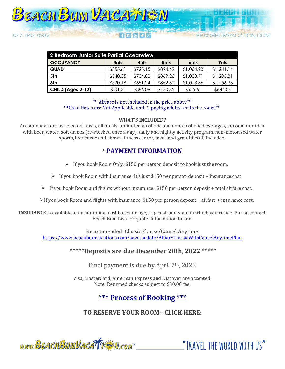

| 2 Bedroom Junior Suite Partial Oceanview |          |          |                  |                  |            |  |
|------------------------------------------|----------|----------|------------------|------------------|------------|--|
| <b>OCCUPANCY</b>                         | 3nts     | 4nts     | 5 <sub>nts</sub> | 6 <sub>nts</sub> | 7nts       |  |
| <b>QUAD</b>                              | \$555.61 | \$725.15 | \$894.69         | \$1,064.23       | \$1,241.14 |  |
| 5th                                      | \$540.35 | \$704.80 | \$869.26         | \$1,033.71       | \$1,205.31 |  |
| 6th                                      | \$530.18 | \$691.24 | \$852.30         | \$1,013.36       | \$1,156.36 |  |
| CHILD (Ages 2-12)                        | \$301.31 | \$386.08 | \$470.85         | \$555.61         | \$644.07   |  |

\*\* Airfare is not included in the price above\*\* \*\*Child Rates are Not Applicable until 2 paying adults are in the room.\*\*

#### **WHAT'S INCLUDED?**

Accommodations as selected, taxes, all meals, unlimited alcoholic and non-alcoholic beverages, in-room mini-bar with beer, water, soft drinks (re-stocked once a day), daily and nightly activity program, non-motorized water sports, live music and shows, fitness center, taxes and gratuities all included.

#### \* **PAYMENT INFORMATION**

- ➢ If you book Room Only: \$150 per person deposit to book just the room.
- $\triangleright$  If you book Room with insurance: It's just \$150 per person deposit + insurance cost.
- $\triangleright$  If you book Room and flights without insurance: \$150 per person deposit + total airfare cost.
- $\triangleright$  If you book Room and flights with insurance: \$150 per person deposit + airfare + insurance cost.

**INSURANCE** is available at an additional cost based on age, trip cost, and state in which you reside. Please contact Beach Bum Lisa for quote. Information below.

Recommended: Classic Plan w/Cancel Anytime <https://www.beachbumvacations.com/savethedate/AllianzClassicWithCancelAnytimePlan>

#### **\*\*\*\*\*Deposits are due December 20th, 2022 \*\*\*\*\***

Final payment is due by April 7th, 2023

Visa, MasterCard, American Express and Discover are accepted. Note: Returned checks subject to \$30.00 fee.

# **\*\*\* Process of Booking** \*\*\*

### **TO RESERVE YOUR ROOM– CLICK HERE:**



"TRAVFI THE WORLD WITH US"